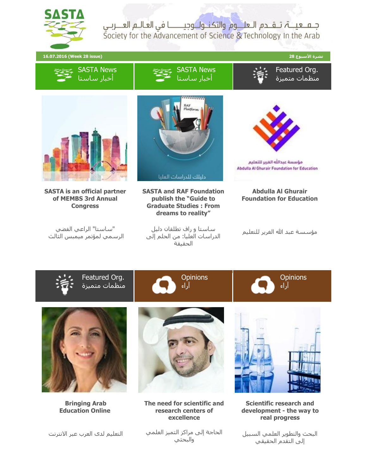

جلف عينة تلقلدم اللعليوم والتكنول وجيلننا في العالم العنزبي Society for the Advancement of Science & Technology In the Arab







**Bringing Arab Education Online**

التعليم لدى العرب عبر االنترنت







**The need for scientific and research centers of excellence**



**Scientific research and development - the way to real progress**

البحث والتطوير العلمي السبيل إلى التقدم الحقيقي

الحاجة إلى مراكز التميز العلمي والبحثي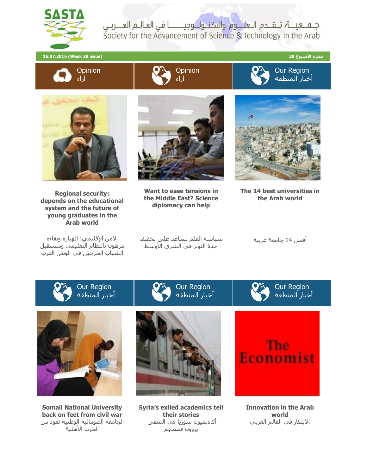

جلف عينة تلقلدم اللعليوم والتكنيول وجيلننا في العاليم العنزبي Society for the Advancement of Science & Technology In the Arab

**نشرة األسبوع 28 (issue 28 Week (16.07.2016**







Our Region أخبار المنطقة



**Regional security: depends on the educational system and the future of young graduates in the Arab world**

االمن اإلقليمي: انهياره وبقاءه مرهون بالنظام التعليمي ومستقبل الشباب الخرجين في الوطن العرب



**Want to ease tensions in the Middle East? Science diplomacy can help**



**The 14 best universities in the Arab world**

سياسة العلم تساعد على تخفيف حدة التوتر في الشرق الأوسط

أفضل 14 جامعة عربية

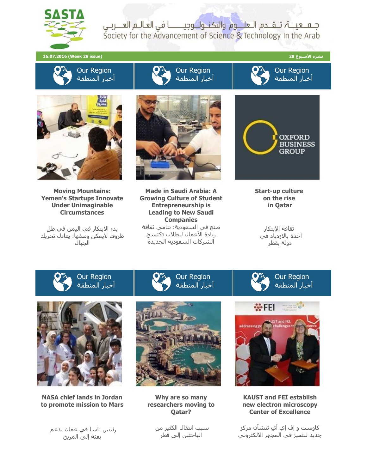

جـم عيــــۃ، تــقــدم الـعلـــوم والتكنــولــوجيـــــــــا في العـالــم العـــربــي Society for the Advancement of Science & Technology In the Arab

**نشرة األسبوع 28 (issue 28 Week (16.07.2016**



Our Region أخبار المنطقة



Our Region أخبار المنطقة



**Moving Mountains: Yemen's Startups Innovate Under Unimaginable Circumstances**

بدء االبتكار في اليمن في ظل ظروف اليمكن وصفها: يعادل تحريك الجبال



**Made in Saudi Arabia: A Growing Culture of Student Entrepreneurship is Leading to New Saudi Companies** صنع في السعودية: تنامي ثقافة ريادة األعمال للطالب تكتسح الشركات السعودية الجديدة

Our Region



**Start-up culture on the rise in Qatar**

ثقافة االبتكار آخذة باالزدياد في دولة بقطر

> Our Region أخبار المنطقة



**NASA chief lands in Jordan to promote mission to Mars**

رئيس ناسا في عمان لدعم بعثة إلى المريخ



**Why are so many researchers moving to Qatar?**

سبب انتقال الكثير من الباحثين إلى قطر



**KAUST and FEI establish new electron microscopy Center of Excellence**

كاوست و إف إي آي تنشآن مركز جديد للتميز في المجهر االلكتروني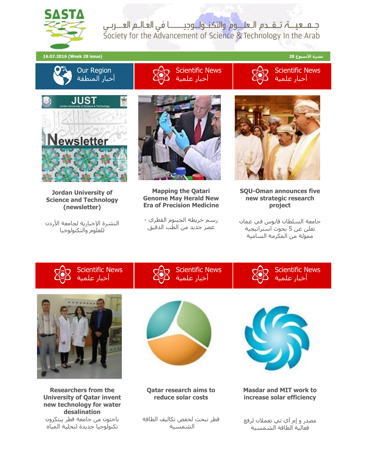

جلما عيناة تلقاحم الاعلا<mark>لوم والتكناول</mark> وجيالنا في العاليم العنازبي Society for the Advancement of Science & Technology In the Arab

**نشرة األسبوع 28 (issue 28 Week (16.07.2016**





Scientific News أخبار علمية



**Jordan University of Science and Technology (newsletter)**

النشرة الإخبارية لجامعة الأردن للعلوم والتكنولوجيا



**Mapping the Qatari Genome May Herald New Era of Precision Medicine**

رسم خريطة الجينوم القطري - عصر جديد من الطب الدقيق



**SQU-Oman announces five new strategic research project**

جامعة السلطان قابوس في عمان تعلن عن 5 بحوث استراتيجية ممولة من المكرمة السامية

> Scientific News أخبار علمية



Scientific News أخبار علمية



**Researchers from the University of Qatar invent new technology for water desalination** باحثون من جامعة قطر يبتكرون تكنولوجيا جديدة لتحلية المياه



**Qatar research aims to reduce solar costs**

قطر تبحث لخفض تكاليف الطاقة الشمسية



**Masdar and MIT work to increase solar efficiency**

مصدر و إم آي تي تعمالن لرفع فعالية الطاقة الشمسية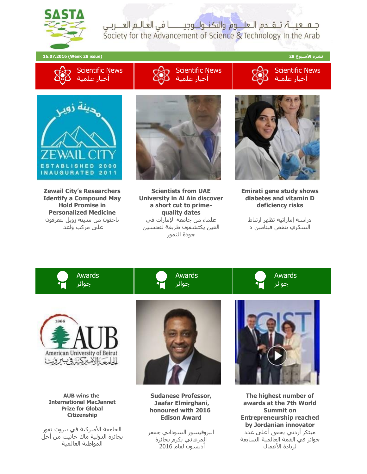

جلما عيناة تلقاحم الاعلا<mark>لوم والتكناول</mark> وجيالنا في العاليم العنازبي Society for the Advancement of Science & Technology In the Arab

**نشرة األسبوع 28 (issue 28 Week (16.07.2016**









**Zewail City's Researchers Identify a Compound May Hold Promise in Personalized Medicine** باحثون من مدينة زويل يتعرفون على مركب واعد



**Scientists from UAE University in Al Ain discover a short cut to primequality dates** علماء من جامعة اإلمارات في العين يكتشفون طريقة لتحسين جودة التمور



**Emirati gene study shows diabetes and vitamin D deficiency risks**

دراسة إماراتية تظهر ارتباط السكري بنقص فيتامين د

> Awards جوائز



Awards جوائز



**AUB wins the International MacJannet Prize for Global Citizenship**

الجامعة الأميركية في بيروت تفوز بجائزة الدولية ماك جانيت من أجل المواطنة العالمية



**Sudanese Professor, Jaafar Elmirghani, honoured with 2016 Edison Award**

البروفيسور السوداني جعفر المرغاني يكرم بجائزة أديسون لعام 2016



**The highest number of awards at the 7th World Summit on Entrepreneurship reached by Jordanian innovator** مبتكر أردني يحقق أعلى عدد جوائز في القمة العالمية السابعة لريادة الأعمال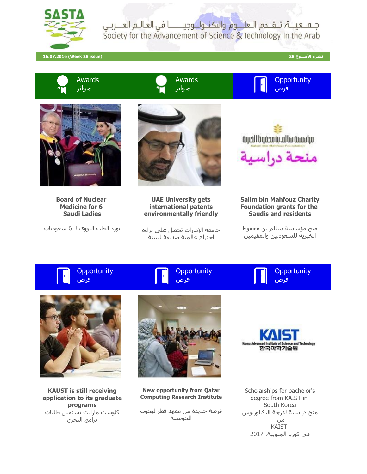

جلف عينة تلقلدم اللعليوم والتكنيول وجيلننا في العاليم العنزربي Society for the Advancement of Science & Technology In the Arab

**نشرة األسبوع 28 (issue 28 Week (16.07.2016**

**Opportunity** 

فرص







**Board of Nuclear Medicine for 6 Saudi Ladies**

بورد الطب النووي لـ 6 سعوديات



**UAE University gets international patents environmentally friendly**

جامعة اإلمارات تحصل على براءة اختراع عالمية صديقة للبيئة



## **Salim bin Mahfouz Charity Foundation grants for the Saudis and residents**

منح مؤسسة سالم بن محفوظ الخيرية للسعوديين والمقيمين



**Opportunity** فرص





**KAUST is still receiving application to its graduate programs** كاوست مازالت تستقبل طلبات برامج التخرج



**New opportunity from Qatar Computing Research Institute**

فرصة جديدة من معهد قطر لبحوث الحوسبة



Scholarships for bachelor's degree from KAIST in South Korea منح دراسية لدرجة البكالوريوس من KAIST في كوريا الجنوبية، 2017